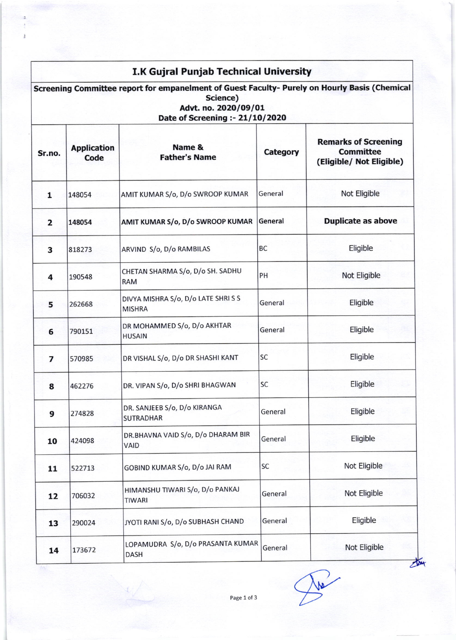## I.K Gujral Punjab Technical University Screening Committee report for empanelment of Guest Faculty- Purely on Hourly Basis (Chemical Science) Advt. no. 2020/09/01 Date of Screening :- 21/10/2020 Sr.no. Application Code Name & Father's Name Category Remarks of Screening **Committee** (Eligible/ Not Eligible) 1 148054 AMIT KUMAR S/o, D/o SWROOP KUMAR General Not Eligible 2 148054 AMIT KUMAR S/o, D/o SWROOP KUMAR General **Duplicate as above** 3 818273 ARVIND S/o, D/o RAMBILAS BC BC Eligible 4 190548 CHETAN SHARMA S/o, D/o SH. SADHU RAM PH Not Eligible 5 262668 DIVYA MISHRA S/o, D/o LATE SHRI s <sup>S</sup> MISHRA General Eligible 6 790151 DR MOHAMMED 5/o, D/o AKHTAR HUSAIN General | Eligible 7 570985 DR VISHAL S/o, D/o DR SHASHI KANT SC STORES Eligible 8 462276 DR. VIPAN S/o, D/o SHRI BHAGWAN SC Eligible 9 274828 DR. SANJEEB S/o, D/o KIRANGA **SUTRADHAR** General | Eligible 10 424098 DR.BHAVNA VAID S/o, D/o DHARAM BIR VAID General | Eligible 11 522713 GOBIND KUMAR S/o, D/o JAI RAM SC Not Eligible L2 706032 HIMANSHU TIWARI S/o, D/o PANKAJ TIWARI General Not Eligible 13 290024 JYOTI RANI S/o, D/o SUBHASH CHAND General Eligible LOPAMUDRA S/o, D/o PRASANTA KUMAR

General Not Eligible

14 173672

**DASH**